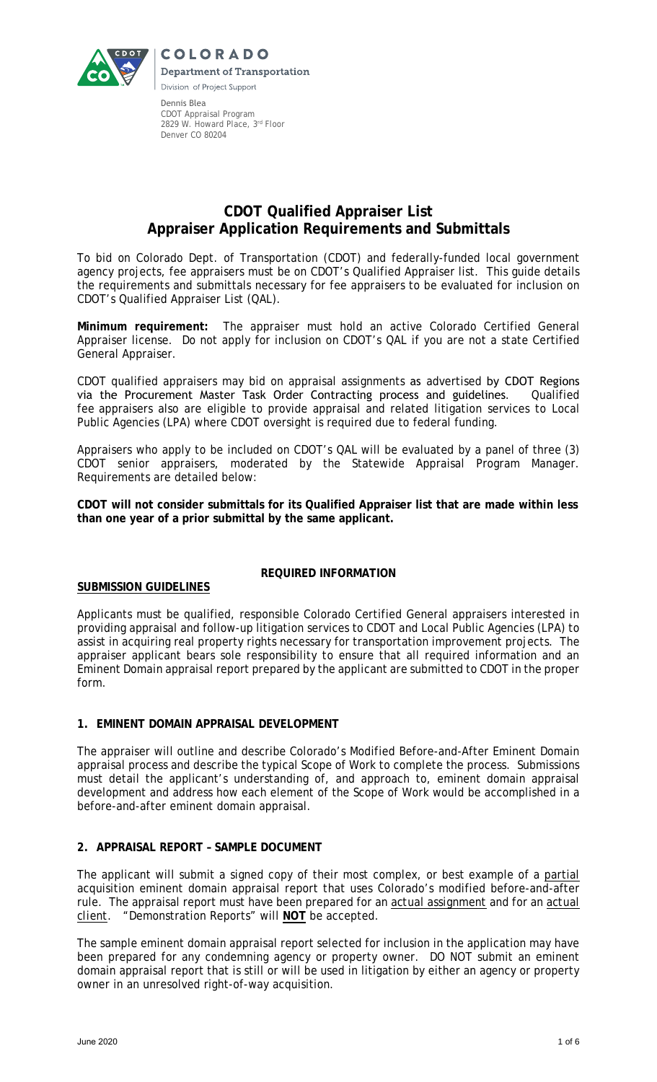

Dennis Blea CDOT Appraisal Program 2829 W. Howard Place, 3rd Floor Denver CO 80204

# **CDOT Qualified Appraiser List Appraiser Application Requirements and Submittals**

To bid on Colorado Dept. of Transportation (CDOT) and federally-funded local government agency projects, fee appraisers must be on CDOT's Qualified Appraiser list. This guide details the requirements and submittals necessary for fee appraisers to be evaluated for inclusion on CDOT's Qualified Appraiser List (QAL).

**Minimum requirement:** The appraiser must hold an active Colorado Certified General Appraiser license. Do not apply for inclusion on CDOT's QAL if you are not a state Certified General Appraiser.

CDOT qualified appraisers may bid on appraisal assignments as advertised by CDOT Regions via the Procurement Master Task Order Contracting process and guidelines. Qualified fee appraisers also are eligible to provide appraisal and related litigation services to Local Public Agencies (LPA) where CDOT oversight is required due to federal funding.

Appraisers who apply to be included on CDOT's QAL will be evaluated by a panel of three (3) CDOT senior appraisers, moderated by the Statewide Appraisal Program Manager. Requirements are detailed below:

**CDOT will not consider submittals for its Qualified Appraiser list that are made within less than one year of a prior submittal by the same applicant.** 

# **SUBMISSION GUIDELINES**

# **REQUIRED INFORMATION**

Applicants must be qualified, responsible Colorado Certified General appraisers interested in providing appraisal and follow-up litigation services to CDOT and Local Public Agencies (LPA) to assist in acquiring real property rights necessary for transportation improvement projects. The appraiser applicant bears sole responsibility to ensure that all required information and an Eminent Domain appraisal report prepared by the applicant are submitted to CDOT in the proper form.

# **1. EMINENT DOMAIN APPRAISAL DEVELOPMENT**

The appraiser will outline and describe Colorado's Modified Before-and-After Eminent Domain appraisal process and describe the typical Scope of Work to complete the process. Submissions must detail the applicant's understanding of, and approach to, eminent domain appraisal development and address how each element of the Scope of Work would be accomplished in a before-and-after eminent domain appraisal.

# **2. APPRAISAL REPORT – SAMPLE DOCUMENT**

The applicant will submit a signed copy of their most complex, or best example of a partial acquisition eminent domain appraisal report that uses Colorado's modified before-and-after rule. The appraisal report must have been prepared for an *actual assignment* and for an *actual client*. "Demonstration Reports" will **NOT** be accepted.

The sample eminent domain appraisal report selected for inclusion in the application may have been prepared for any condemning agency or property owner. DO NOT submit an eminent domain appraisal report that is still or will be used in litigation by either an agency or property owner in an unresolved right-of-way acquisition.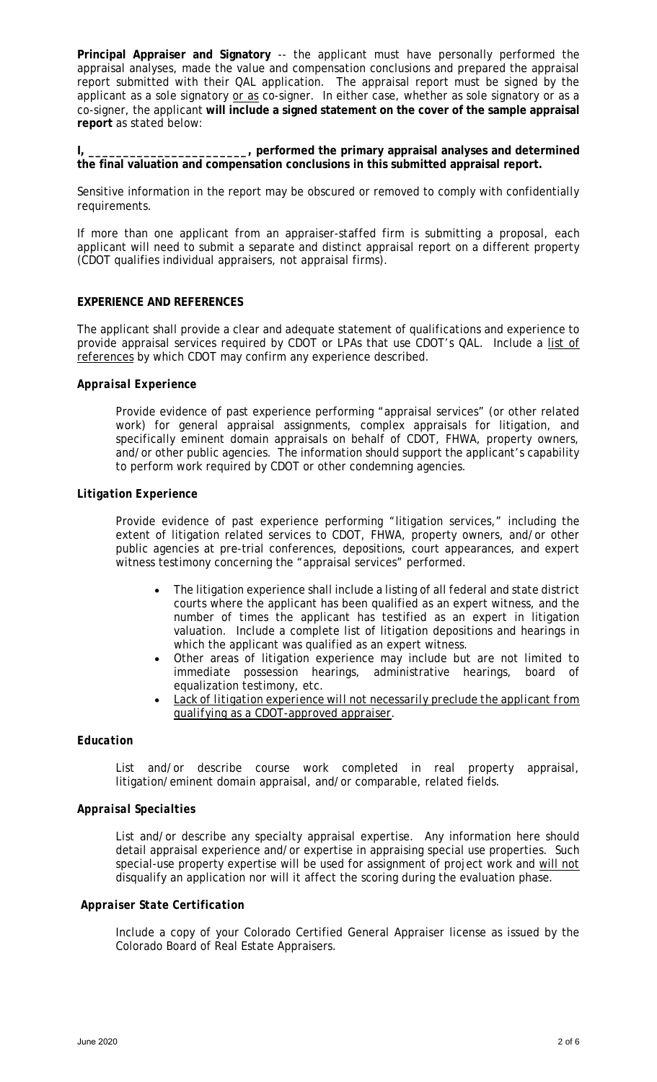**Principal Appraiser and Signatory** -- the applicant must have personally performed the appraisal analyses, made the value and compensation conclusions and prepared the appraisal report submitted with their QAL application. The appraisal report must be signed by the applicant as a sole signatory or as co-signer. In either case, whether as sole signatory or as a co-signer, the applicant **will include a signed statement on the cover of the sample appraisal report** as stated below:

**I, \_\_\_\_\_\_\_\_\_\_\_\_\_\_\_\_\_\_\_\_\_\_\_, performed the primary appraisal analyses and determined the final valuation and compensation conclusions in this submitted appraisal report.**

Sensitive information in the report may be obscured or removed to comply with confidentially requirements.

If more than one applicant from an appraiser-staffed firm is submitting a proposal, each applicant will need to submit a separate and distinct appraisal report on a different property (CDOT qualifies individual appraisers, not appraisal firms).

#### **EXPERIENCE AND REFERENCES**

The applicant shall provide a clear and adequate statement of qualifications and experience to provide appraisal services required by CDOT or LPAs that use CDOT's QAL. Include a list of references by which CDOT may confirm any experience described.

#### *Appraisal Experience*

Provide evidence of past experience performing "appraisal services" (or other related work) for general appraisal assignments, complex appraisals for litigation, and specifically eminent domain appraisals on behalf of CDOT, FHWA, property owners, and/or other public agencies. The information should support the applicant's capability to perform work required by CDOT or other condemning agencies.

#### *Litigation Experience*

Provide evidence of past experience performing "litigation services," including the extent of litigation related services to CDOT, FHWA, property owners, and/or other public agencies at pre-trial conferences, depositions, court appearances, and expert witness testimony concerning the "appraisal services" performed.

- The litigation experience shall include a listing of all federal and state district courts where the applicant has been qualified as an expert witness, and the number of times the applicant has testified as an expert in litigation valuation. Include a complete list of litigation depositions and hearings in which the applicant was qualified as an expert witness.
- Other areas of litigation experience may include but are not limited to immediate possession hearings, administrative hearings, board of equalization testimony, etc.
- *Lack of litigation experience will not necessarily preclude the applicant from qualifying as a CDOT-approved appraiser*.

# *Education*

List and/or describe course work completed in real property appraisal, litigation/eminent domain appraisal, and/or comparable, related fields.

#### *Appraisal Specialties*

List and/or describe any specialty appraisal expertise. Any information here should detail appraisal experience and/or expertise in appraising special use properties. Such special-use property expertise will be used for assignment of project work and will not disqualify an application nor will it affect the scoring during the evaluation phase.

#### *Appraiser State Certification*

Include a copy of your Colorado Certified General Appraiser license as issued by the Colorado Board of Real Estate Appraisers.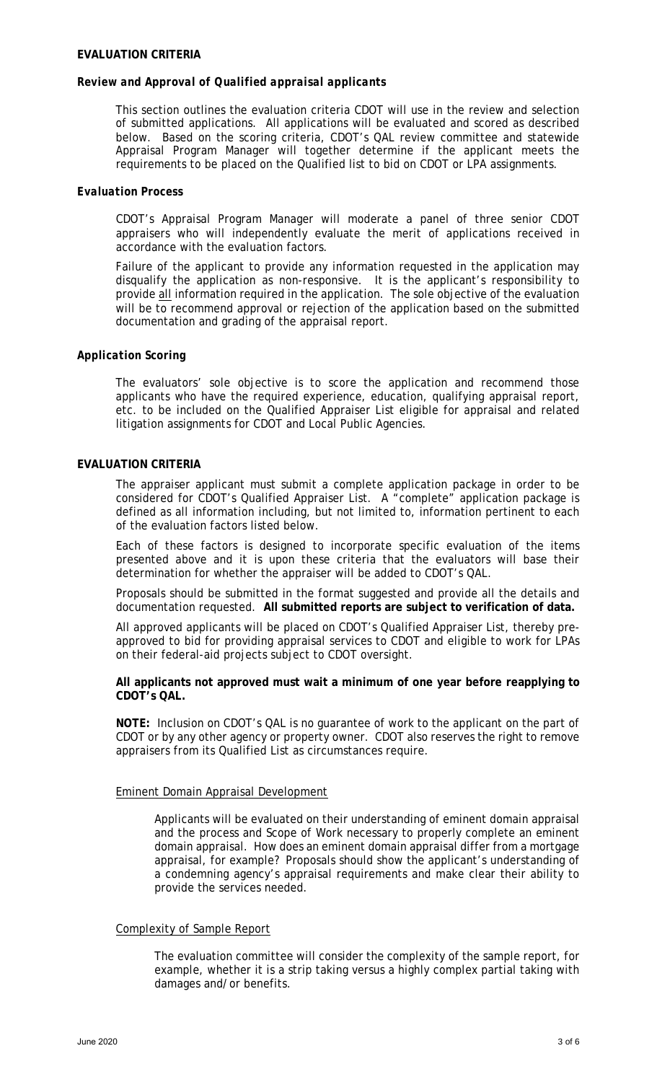#### **EVALUATION CRITERIA**

#### *Review and Approval of Qualified appraisal applicants*

This section outlines the evaluation criteria CDOT will use in the review and selection of submitted applications. All applications will be evaluated and scored as described below. Based on the scoring criteria, CDOT's QAL review committee and statewide Appraisal Program Manager will together determine if the applicant meets the requirements to be placed on the Qualified list to bid on CDOT or LPA assignments.

#### *Evaluation Process*

CDOT's Appraisal Program Manager will moderate a panel of three senior CDOT appraisers who will independently evaluate the merit of applications received in accordance with the evaluation factors.

Failure of the applicant to provide any information requested in the application may disqualify the application as non-responsive. It is the applicant's responsibility to provide all information required in the application. The sole objective of the evaluation will be to recommend approval or rejection of the application based on the submitted documentation and grading of the appraisal report.

# *Application Scoring*

The evaluators' sole objective is to score the application and recommend those applicants who have the required experience, education, qualifying appraisal report, etc. to be included on the Qualified Appraiser List eligible for appraisal and related litigation assignments for CDOT and Local Public Agencies.

# **EVALUATION CRITERIA**

The appraiser applicant must submit a complete application package in order to be considered for CDOT's Qualified Appraiser List. A "complete" application package is defined as all information including, but not limited to, information pertinent to each of the evaluation factors listed below.

Each of these factors is designed to incorporate specific evaluation of the items presented above and it is upon these criteria that the evaluators will base their determination for whether the appraiser will be added to CDOT's QAL.

Proposals should be submitted in the format suggested and provide all the details and documentation requested. **All submitted reports are subject to verification of data.**

All approved applicants will be placed on CDOT's Qualified Appraiser List, thereby preapproved to bid for providing appraisal services to CDOT and eligible to work for LPAs on their federal-aid projects subject to CDOT oversight.

**All applicants not approved must wait a minimum of one year before reapplying to CDOT's QAL.**

**NOTE:** Inclusion on CDOT's QAL is no guarantee of work to the applicant on the part of CDOT or by any other agency or property owner. CDOT also reserves the right to remove appraisers from its Qualified List as circumstances require.

# Eminent Domain Appraisal Development

Applicants will be evaluated on their understanding of eminent domain appraisal and the process and Scope of Work necessary to properly complete an eminent domain appraisal. How does an eminent domain appraisal differ from a mortgage appraisal, for example? Proposals should show the applicant's understanding of a condemning agency's appraisal requirements and make clear their ability to provide the services needed.

# Complexity of Sample Report

The evaluation committee will consider the complexity of the sample report, for example, whether it is a strip taking versus a highly complex partial taking with damages and/or benefits.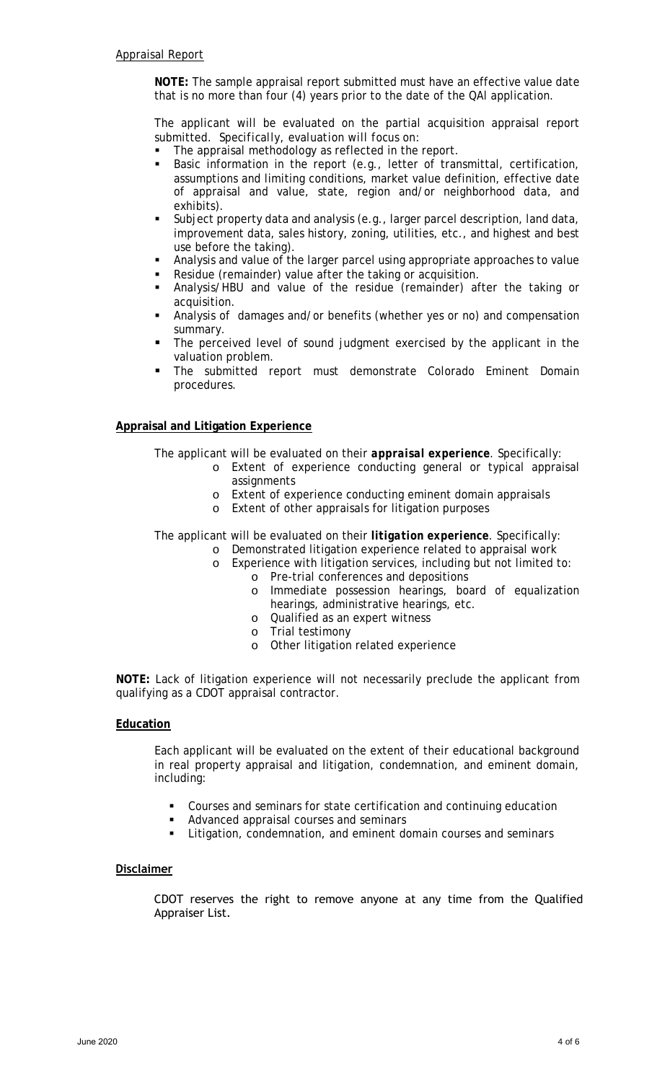**NOTE:** The sample appraisal report submitted must have an effective value date that is no more than four (4) years prior to the date of the QAl application.

The applicant will be evaluated on the partial acquisition appraisal report submitted. *Specifically, evaluation will focus on*:

- The appraisal methodology as reflected in the report.
- Basic information in the report (e.g., letter of transmittal, certification, assumptions and limiting conditions, market value definition, effective date of appraisal and value, state, region and/or neighborhood data, and exhibits).
- Subject property data and analysis (e.g., larger parcel description, land data, improvement data, sales history, zoning, utilities, etc., and highest and best use before the taking).
- Analysis and value of the larger parcel using appropriate approaches to value
- Residue (remainder) value after the taking or acquisition.
- Analysis/HBU and value of the residue (remainder) after the taking or acquisition.
- Analysis of damages and/or benefits (whether yes or no) and compensation summary.
- The perceived level of sound judgment exercised by the applicant in the valuation problem.
- The submitted report must demonstrate Colorado Eminent Domain procedures.

# **Appraisal and Litigation Experience**

The applicant will be evaluated on their *appraisal experience*. Specifically:

- o Extent of experience conducting general or typical appraisal assignments
- o Extent of experience conducting eminent domain appraisals
- o Extent of other appraisals for litigation purposes

The applicant will be evaluated on their *litigation experience*. Specifically:

- o Demonstrated litigation experience related to appraisal work
- o Experience with litigation services, including but not limited to: o Pre-trial conferences and depositions
	- o Immediate possession hearings, board of equalization hearings, administrative hearings, etc.
	- o Qualified as an expert witness
	- o Trial testimony
	- o Other litigation related experience

**NOTE:** Lack of litigation experience will not necessarily preclude the applicant from qualifying as a CDOT appraisal contractor.

#### **Education**

Each applicant will be evaluated on the extent of their educational background in real property appraisal and litigation, condemnation, and eminent domain, including:

- Courses and seminars for state certification and continuing education
- Advanced appraisal courses and seminars
- **EXTERNITHE** Litigation, condemnation, and eminent domain courses and seminars

# **Disclaimer**

CDOT reserves the right to remove anyone at any time from the Qualified Appraiser List.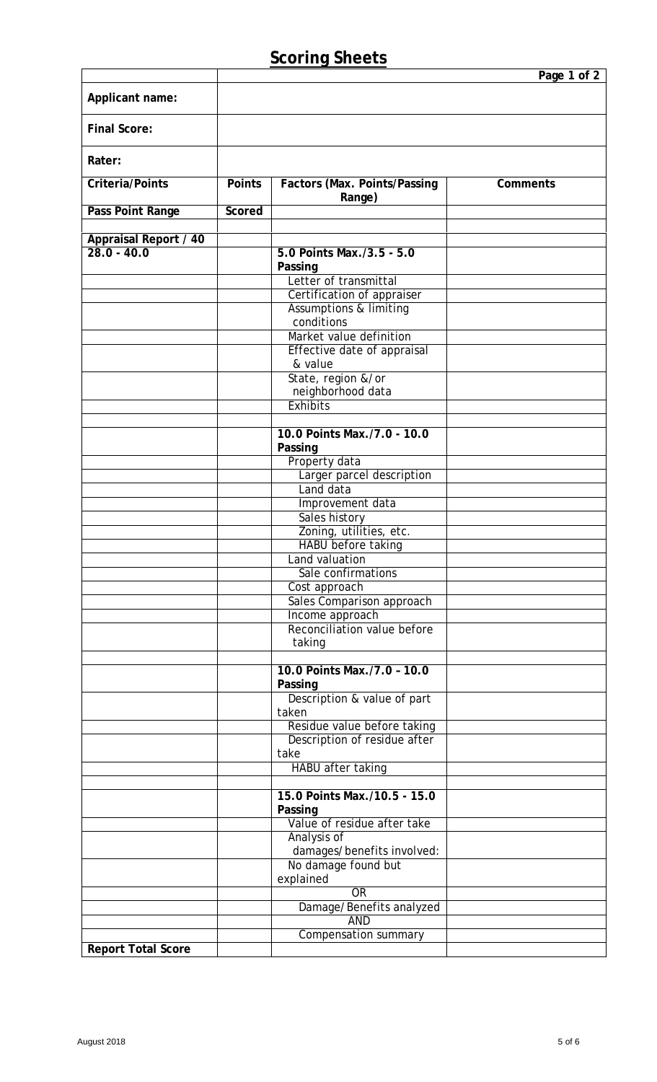|                              |               |                                                 | Page 1 of 2     |
|------------------------------|---------------|-------------------------------------------------|-----------------|
| Applicant name:              |               |                                                 |                 |
|                              |               |                                                 |                 |
| <b>Final Score:</b>          |               |                                                 |                 |
|                              |               |                                                 |                 |
| Rater:                       |               |                                                 |                 |
| <b>Criteria/Points</b>       | <b>Points</b> | Factors (Max. Points/Passing                    | <b>Comments</b> |
|                              |               | Range)                                          |                 |
| Pass Point Range             | Scored        |                                                 |                 |
| <b>Appraisal Report / 40</b> |               |                                                 |                 |
| $28.0 - 40.0$                |               | 5.0 Points Max./3.5 - 5.0                       |                 |
|                              |               | Passing                                         |                 |
|                              |               | Letter of transmittal                           |                 |
|                              |               | Certification of appraiser                      |                 |
|                              |               | <b>Assumptions &amp; limiting</b><br>conditions |                 |
|                              |               | Market value definition                         |                 |
|                              |               | Effective date of appraisal                     |                 |
|                              |               | & value                                         |                 |
|                              |               | State, region &/or                              |                 |
|                              |               | neighborhood data<br><b>Exhibits</b>            |                 |
|                              |               |                                                 |                 |
|                              |               | 10.0 Points Max./7.0 - 10.0                     |                 |
|                              |               | Passing                                         |                 |
|                              |               | Property data                                   |                 |
|                              |               | Larger parcel description<br>Land data          |                 |
|                              |               | Improvement data                                |                 |
|                              |               | Sales history                                   |                 |
|                              |               | Zoning, utilities, etc.                         |                 |
|                              |               | HABU before taking                              |                 |
|                              |               | Land valuation                                  |                 |
|                              |               | Sale confirmations<br>Cost approach             |                 |
|                              |               | Sales Comparison approach                       |                 |
|                              |               | Income approach                                 |                 |
|                              |               | Reconciliation value before                     |                 |
|                              |               | taking                                          |                 |
|                              |               | 10.0 Points Max./7.0 - 10.0                     |                 |
|                              |               | Passing                                         |                 |
|                              |               | Description & value of part                     |                 |
|                              |               | taken                                           |                 |
|                              |               | Residue value before taking                     |                 |
|                              |               | Description of residue after<br>take            |                 |
|                              |               | HABU after taking                               |                 |
|                              |               |                                                 |                 |
|                              |               | 15.0 Points Max./10.5 - 15.0                    |                 |
|                              |               | Passing                                         |                 |
|                              |               | Value of residue after take<br>Analysis of      |                 |
|                              |               | damages/benefits involved:                      |                 |
|                              |               | No damage found but                             |                 |
|                              |               | explained                                       |                 |
|                              |               | <b>OR</b>                                       |                 |
|                              |               | Damage/Benefits analyzed<br><b>AND</b>          |                 |
|                              |               | <b>Compensation summary</b>                     |                 |
| <b>Report Total Score</b>    |               |                                                 |                 |